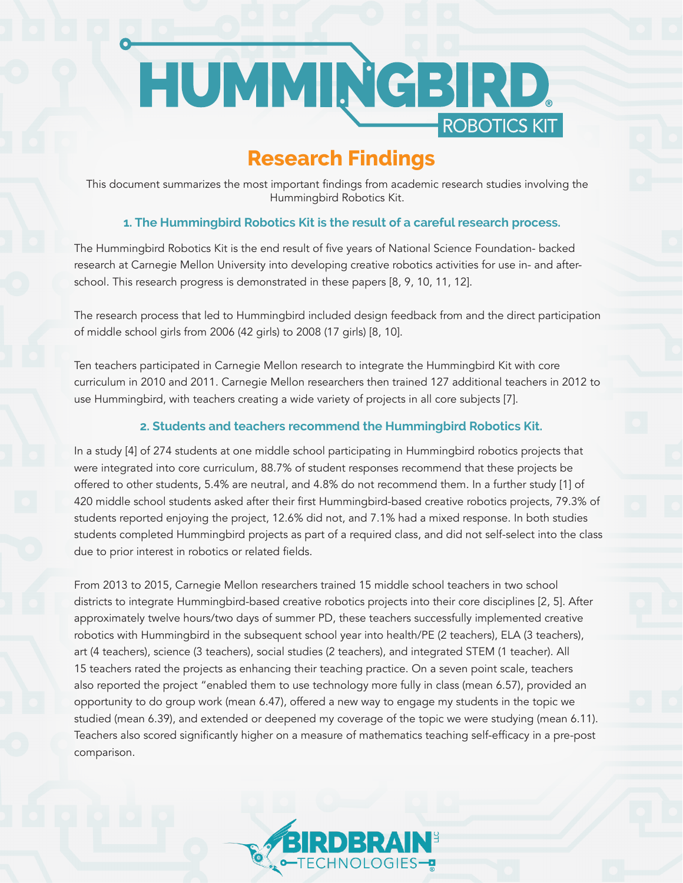# HUMMRGBIRD. ROBOTICS KIT

# **Research Findings**

This document summarizes the most important findings from academic research studies involving the Hummingbird Robotics Kit.

## **1. The Hummingbird Robotics Kit is the result of a careful research process.**

The Hummingbird Robotics Kit is the end result of five years of National Science Foundation- backed research at Carnegie Mellon University into developing creative robotics activities for use in- and afterschool. This research progress is demonstrated in these papers [8, 9, 10, 11, 12].

The research process that led to Hummingbird included design feedback from and the direct participation of middle school girls from 2006 (42 girls) to 2008 (17 girls) [8, 10].

Ten teachers participated in Carnegie Mellon research to integrate the Hummingbird Kit with core curriculum in 2010 and 2011. Carnegie Mellon researchers then trained 127 additional teachers in 2012 to use Hummingbird, with teachers creating a wide variety of projects in all core subjects [7].

## **2. Students and teachers recommend the Hummingbird Robotics Kit.**

In a study [4] of 274 students at one middle school participating in Hummingbird robotics projects that were integrated into core curriculum, 88.7% of student responses recommend that these projects be offered to other students, 5.4% are neutral, and 4.8% do not recommend them. In a further study [1] of 420 middle school students asked after their first Hummingbird-based creative robotics projects, 79.3% of students reported enjoying the project, 12.6% did not, and 7.1% had a mixed response. In both studies students completed Hummingbird projects as part of a required class, and did not self-select into the class due to prior interest in robotics or related fields.

From 2013 to 2015, Carnegie Mellon researchers trained 15 middle school teachers in two school districts to integrate Hummingbird-based creative robotics projects into their core disciplines [2, 5]. After approximately twelve hours/two days of summer PD, these teachers successfully implemented creative robotics with Hummingbird in the subsequent school year into health/PE (2 teachers), ELA (3 teachers), art (4 teachers), science (3 teachers), social studies (2 teachers), and integrated STEM (1 teacher). All 15 teachers rated the projects as enhancing their teaching practice. On a seven point scale, teachers also reported the project "enabled them to use technology more fully in class (mean 6.57), provided an opportunity to do group work (mean 6.47), offered a new way to engage my students in the topic we studied (mean 6.39), and extended or deepened my coverage of the topic we were studying (mean 6.11). Teachers also scored significantly higher on a measure of mathematics teaching self-efficacy in a pre-post comparison.

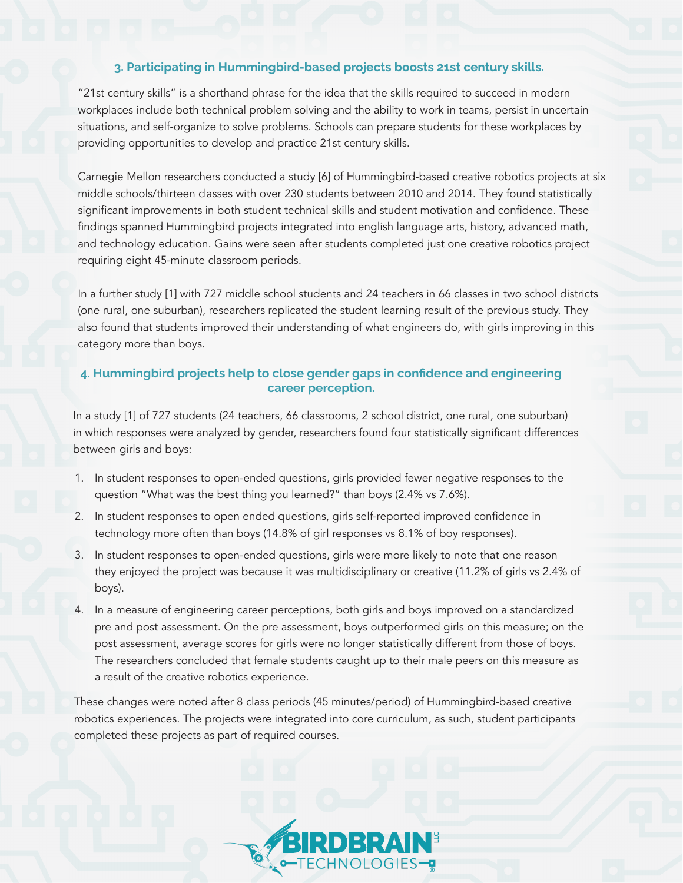#### **3. Participating in Hummingbird-based projects boosts 21st century skills.**

"21st century skills" is a shorthand phrase for the idea that the skills required to succeed in modern workplaces include both technical problem solving and the ability to work in teams, persist in uncertain situations, and self-organize to solve problems. Schools can prepare students for these workplaces by providing opportunities to develop and practice 21st century skills.

Carnegie Mellon researchers conducted a study [6] of Hummingbird-based creative robotics projects at six middle schools/thirteen classes with over 230 students between 2010 and 2014. They found statistically significant improvements in both student technical skills and student motivation and confidence. These findings spanned Hummingbird projects integrated into english language arts, history, advanced math, and technology education. Gains were seen after students completed just one creative robotics project requiring eight 45-minute classroom periods.

In a further study [1] with 727 middle school students and 24 teachers in 66 classes in two school districts (one rural, one suburban), researchers replicated the student learning result of the previous study. They also found that students improved their understanding of what engineers do, with girls improving in this category more than boys.

#### **4. Hummingbird projects help to close gender gaps in confidence and engineering career perception.**

In a study [1] of 727 students (24 teachers, 66 classrooms, 2 school district, one rural, one suburban) in which responses were analyzed by gender, researchers found four statistically significant differences between girls and boys:

- 1. In student responses to open-ended questions, girls provided fewer negative responses to the question "What was the best thing you learned?" than boys (2.4% vs 7.6%).
- 2. In student responses to open ended questions, girls self-reported improved confidence in technology more often than boys (14.8% of girl responses vs 8.1% of boy responses).
- 3. In student responses to open-ended questions, girls were more likely to note that one reason they enjoyed the project was because it was multidisciplinary or creative (11.2% of girls vs 2.4% of boys).
- 4. In a measure of engineering career perceptions, both girls and boys improved on a standardized pre and post assessment. On the pre assessment, boys outperformed girls on this measure; on the post assessment, average scores for girls were no longer statistically different from those of boys. The researchers concluded that female students caught up to their male peers on this measure as a result of the creative robotics experience.

These changes were noted after 8 class periods (45 minutes/period) of Hummingbird-based creative robotics experiences. The projects were integrated into core curriculum, as such, student participants completed these projects as part of required courses.

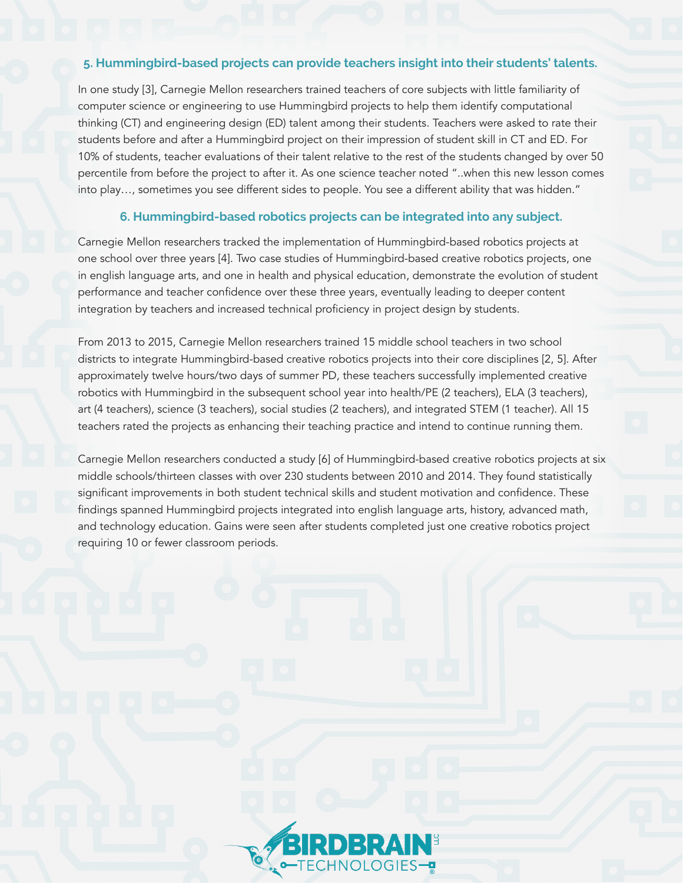#### **5. Hummingbird-based projects can provide teachers insight into their students' talents.**

In one study [3], Carnegie Mellon researchers trained teachers of core subjects with little familiarity of computer science or engineering to use Hummingbird projects to help them identify computational thinking (CT) and engineering design (ED) talent among their students. Teachers were asked to rate their students before and after a Hummingbird project on their impression of student skill in CT and ED. For 10% of students, teacher evaluations of their talent relative to the rest of the students changed by over 50 percentile from before the project to after it. As one science teacher noted "..when this new lesson comes into play…, sometimes you see different sides to people. You see a different ability that was hidden."

#### **6. Hummingbird-based robotics projects can be integrated into any subject.**

Carnegie Mellon researchers tracked the implementation of Hummingbird-based robotics projects at one school over three years [4]. Two case studies of Hummingbird-based creative robotics projects, one in english language arts, and one in health and physical education, demonstrate the evolution of student performance and teacher confidence over these three years, eventually leading to deeper content integration by teachers and increased technical proficiency in project design by students.

From 2013 to 2015, Carnegie Mellon researchers trained 15 middle school teachers in two school districts to integrate Hummingbird-based creative robotics projects into their core disciplines [2, 5]. After approximately twelve hours/two days of summer PD, these teachers successfully implemented creative robotics with Hummingbird in the subsequent school year into health/PE (2 teachers), ELA (3 teachers), art (4 teachers), science (3 teachers), social studies (2 teachers), and integrated STEM (1 teacher). All 15 teachers rated the projects as enhancing their teaching practice and intend to continue running them.

Carnegie Mellon researchers conducted a study [6] of Hummingbird-based creative robotics projects at six middle schools/thirteen classes with over 230 students between 2010 and 2014. They found statistically significant improvements in both student technical skills and student motivation and confidence. These findings spanned Hummingbird projects integrated into english language arts, history, advanced math, and technology education. Gains were seen after students completed just one creative robotics project requiring 10 or fewer classroom periods.